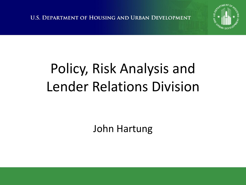**U.S. DEPARTMENT OF HOUSING AND URBAN DEVELOPMENT** 



# Policy, Risk Analysis and Lender Relations Division

John Hartung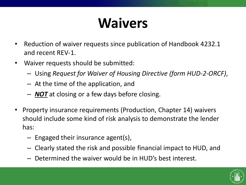## **Waivers**

- Reduction of waiver requests since publication of Handbook 4232.1 and recent REV-1.
- Waiver requests should be submitted:
	- Using *Request for Waiver of Housing Directive (form HUD-2-ORCF)*,
	- At the time of the application, and
	- *NOT* at closing or a few days before closing.
- Property insurance requirements (Production, Chapter 14) waivers should include some kind of risk analysis to demonstrate the lender has:
	- Engaged their insurance agent(s),
	- Clearly stated the risk and possible financial impact to HUD, and
	- Determined the waiver would be in HUD's best interest.

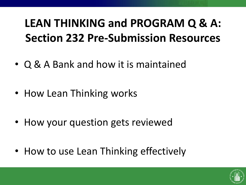### **LEAN THINKING and PROGRAM Q & A: Section 232 Pre-Submission Resources**

- Q & A Bank and how it is maintained
- How Lean Thinking works
- How your question gets reviewed
- How to use Lean Thinking effectively

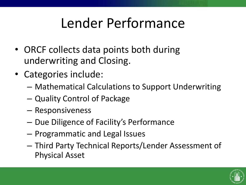### Lender Performance

- ORCF collects data points both during underwriting and Closing.
- Categories include:
	- Mathematical Calculations to Support Underwriting
	- Quality Control of Package
	- Responsiveness
	- Due Diligence of Facility's Performance
	- Programmatic and Legal Issues
	- Third Party Technical Reports/Lender Assessment of Physical Asset

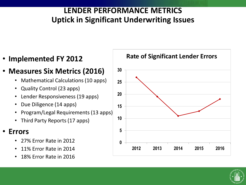#### **LENDER PERFORMANCE METRICS Uptick in Significant Underwriting Issues**

• **Implemented FY 2012**

#### • **Measures Six Metrics (2016)**

- Mathematical Calculations (10 apps)
- Quality Control (23 apps)
- Lender Responsiveness (19 apps)
- Due Diligence (14 apps)
- Program/Legal Requirements (13 apps)
- Third Party Reports (17 apps)

#### • **Errors**

- 27% Error Rate in 2012
- 11% Error Rate in 2014
- 18% Error Rate in 2016



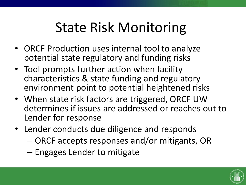### State Risk Monitoring

- ORCF Production uses internal tool to analyze potential state regulatory and funding risks
- Tool prompts further action when facility characteristics & state funding and regulatory environment point to potential heightened risks
- When state risk factors are triggered, ORCF UW determines if issues are addressed or reaches out to Lender for response
- Lender conducts due diligence and responds
	- ORCF accepts responses and/or mitigants, OR
	- Engages Lender to mitigate

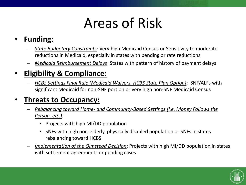### Areas of Risk

#### • **Funding:**

- *State Budgetary Constraints:* Very high Medicaid Census or Sensitivity to moderate reductions in Medicaid, especially in states with pending or rate reductions
- *Medicaid Reimbursement Delays*: States with pattern of history of payment delays

#### • **Eligibility & Compliance:**

– *HCBS Settings Final Rule (Medicaid Waivers, HCBS State Plan Option)*: SNF/ALFs with significant Medicaid for non-SNF portion or very high non-SNF Medicaid Census

#### • **Threats to Occupancy:**

- *Rebalancing toward Home- and Community-Based Settings (i.e. Money Follows the Person, etc.):*
	- Projects with high MI/DD population
	- SNFs with high non-elderly, physically disabled population or SNFs in states rebalancing toward HCBS
- *Implementation of the Olmstead Decision*: Projects with high MI/DD population in states with settlement agreements or pending cases

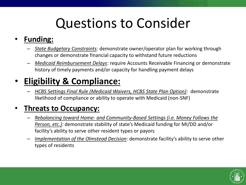### Questions to Consider

#### • **Funding:**

- *State Budgetary Constraints:* demonstrate owner/operator plan for working through changes or demonstrate financial capacity to withstand future reductions
- *Medicaid Reimbursement Delays*: require Accounts Receivable Financing or demonstrate history of timely payments and/or capacity for handling payment delays

#### • **Eligibility & Compliance:**

– *HCBS Settings Final Rule (Medicaid Waivers, HCBS State Plan Option)*: demonstrate likelihood of compliance or ability to operate with Medicaid (non-SNF)

#### • **Threats to Occupancy:**

- *Rebalancing toward Home- and Community-Based Settings (i.e. Money Follows the Person, etc.):* demonstrate stability of state's Medicaid funding for MI/DD and/or facility's ability to serve other resident types or payors
- *Implementation of the Olmstead Decision*: demonstrate facility's ability to serve other types of residents